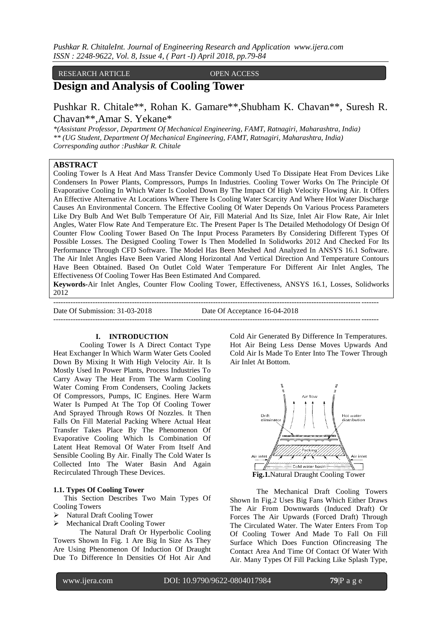#### RESEARCH ARTICLE OPEN ACCESS

## **Design and Analysis of Cooling Tower**

Pushkar R. Chitale\*\*, Rohan K. Gamare\*\*,Shubham K. Chavan\*\*, Suresh R. Chavan\*\*,Amar S. Yekane\*

*\*(Assistant Professor, Department Of Mechanical Engineering, FAMT, Ratnagiri, Maharashtra, India) \*\* (UG Student, Department Of Mechanical Engineering, FAMT, Ratnagiri, Maharashtra, India) Corresponding author :Pushkar R. Chitale*

## **ABSTRACT**

Cooling Tower Is A Heat And Mass Transfer Device Commonly Used To Dissipate Heat From Devices Like Condensers In Power Plants, Compressors, Pumps In Industries. Cooling Tower Works On The Principle Of Evaporative Cooling In Which Water Is Cooled Down By The Impact Of High Velocity Flowing Air. It Offers An Effective Alternative At Locations Where There Is Cooling Water Scarcity And Where Hot Water Discharge Causes An Environmental Concern. The Effective Cooling Of Water Depends On Various Process Parameters Like Dry Bulb And Wet Bulb Temperature Of Air, Fill Material And Its Size, Inlet Air Flow Rate, Air Inlet Angles, Water Flow Rate And Temperature Etc. The Present Paper Is The Detailed Methodology Of Design Of Counter Flow Cooling Tower Based On The Input Process Parameters By Considering Different Types Of Possible Losses. The Designed Cooling Tower Is Then Modelled In Solidworks 2012 And Checked For Its Performance Through CFD Software. The Model Has Been Meshed And Analyzed In ANSYS 16.1 Software. The Air Inlet Angles Have Been Varied Along Horizontal And Vertical Direction And Temperature Contours Have Been Obtained. Based On Outlet Cold Water Temperature For Different Air Inlet Angles, The Effectiveness Of Cooling Tower Has Been Estimated And Compared.

**Keywords-**Air Inlet Angles, Counter Flow Cooling Tower, Effectiveness, ANSYS 16.1, Losses, Solidworks 2012

------------------------------------------------------------------------------------------------------------------------------------ Date Of Submission: 31-03-2018 Date Of Acceptance 16-04-2018 ------------------------------------------------------------------------------------------------------------------------------------

#### **I. INTRODUCTION**

Cooling Tower Is A Direct Contact Type Heat Exchanger In Which Warm Water Gets Cooled Down By Mixing It With High Velocity Air. It Is Mostly Used In Power Plants, Process Industries To Carry Away The Heat From The Warm Cooling Water Coming From Condensers, Cooling Jackets Of Compressors, Pumps, IC Engines. Here Warm Water Is Pumped At The Top Of Cooling Tower And Sprayed Through Rows Of Nozzles. It Then Falls On Fill Material Packing Where Actual Heat Transfer Takes Place By The Phenomenon Of Evaporative Cooling Which Is Combination Of Latent Heat Removal Of Water From Itself And Sensible Cooling By Air. Finally The Cold Water Is Collected Into The Water Basin And Again Recirculated Through These Devices.

#### **1.1. Types Of Cooling Tower**

This Section Describes Two Main Types Of Cooling Towers

- Natural Draft Cooling Tower
- $\triangleright$  Mechanical Draft Cooling Tower

The Natural Draft Or Hyperbolic Cooling Towers Shown In Fig. 1 Are Big In Size As They Are Using Phenomenon Of Induction Of Draught Due To Difference In Densities Of Hot Air And

Cold Air Generated By Difference In Temperatures. Hot Air Being Less Dense Moves Upwards And Cold Air Is Made To Enter Into The Tower Through Air Inlet At Bottom.



**Fig.1.**Natural Draught Cooling Tower

The Mechanical Draft Cooling Towers Shown In Fig.2 Uses Big Fans Which Either Draws The Air From Downwards (Induced Draft) Or Forces The Air Upwards (Forced Draft) Through The Circulated Water. The Water Enters From Top Of Cooling Tower And Made To Fall On Fill Surface Which Does Function Ofincreasing The Contact Area And Time Of Contact Of Water With Air. Many Types Of Fill Packing Like Splash Type,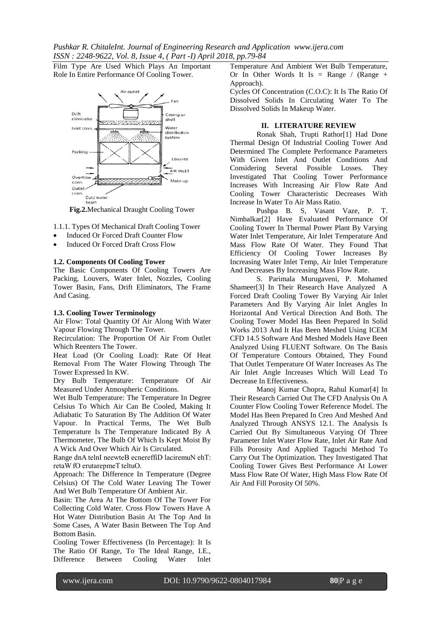Film Type Are Used Which Plays An Important Role In Entire Performance Of Cooling Tower.



Fig.2. Mechanical Draught Cooling Tower

1.1.1. Types Of Mechanical Draft Cooling Tower

- Induced Or Forced Draft Counter Flow
- **Induced Or Forced Draft Cross Flow**

#### 1.2. Components Of Cooling Tower

The Basic Components Of Cooling Towers Are Packing, Louvers, Water Inlet, Nozzles, Cooling Tower Basin, Fans, Drift Eliminators, The Frame And Casing.

#### 1.3. Cooling Tower Terminology

Air Flow: Total Quantity Of Air Along With Water Vapour Flowing Through The Tower.

Recirculation: The Proportion Of Air From Outlet Which Reenters The Tower.

Heat Load (Or Cooling Load): Rate Of Heat Removal From The Water Flowing Through The Tower Expressed In KW.

Dry Bulb Temperature: Temperature Of Air Measured Under Atmospheric Conditions.

Wet Bulb Temperature: The Temperature In Degree Celsius To Which Air Can Be Cooled, Making It Adiabatic To Saturation By The Addition Of Water Vapour. In Practical Terms, The Wet Bulb Temperature Is The Temperature Indicated By A Thermometer, The Bulb Of Which Is Kept Moist By A Wick And Over Which Air Is Circulated.

Range dnA telnI neewteB ecnereffiD laciremuN ehT: retaW fO erutarepmeT teltuO.

Approach: The Difference In Temperature (Degree Celsius) Of The Cold Water Leaving The Tower And Wet Bulb Temperature Of Ambient Air.

Basin: The Area At The Bottom Of The Tower For Collecting Cold Water. Cross Flow Towers Have A Hot Water Distribution Basin At The Top And In Some Cases, A Water Basin Between The Top And Bottom Basin.

Cooling Tower Effectiveness (In Percentage): It Is The Ratio Of Range, To The Ideal Range, I.E., Difference Between Cooling Water Inlet

Temperature And Ambient Wet Bulb Temperature, Or In Other Words It Is = Range / (Range + Approach).

Cycles Of Concentration (C.O.C): It Is The Ratio Of Dissolved Solids In Circulating Water To The Dissolved Solids In Makeup Water.

## **II. LITERATURE REVIEW**

Ronak Shah, Trupti Rathor<sup>[1]</sup> Had Done Thermal Design Of Industrial Cooling Tower And Determined The Complete Performance Parameters With Given Inlet And Outlet Conditions And Possible Losses. Considering Several They Investigated That Cooling Tower Performance Increases With Increasing Air Flow Rate And Cooling Tower Characteristic Decreases With Increase In Water To Air Mass Ratio.

Pushpa B. S, Vasant Vaze, P. T. Nimbalkar<sup>[2]</sup> Have Evaluated Performance Of Cooling Tower In Thermal Power Plant By Varying Water Inlet Temperature, Air Inlet Temperature And Mass Flow Rate Of Water. They Found That Efficiency Of Cooling Tower Increases By Increasing Water Inlet Temp, Air Inlet Temperature And Decreases By Increasing Mass Flow Rate.

S. Parimala Murugaveni, P. Mohamed Shameer[3] In Their Research Have Analyzed A Forced Draft Cooling Tower By Varying Air Inlet Parameters And By Varying Air Inlet Angles In Horizontal And Vertical Direction And Both. The Cooling Tower Model Has Been Prepared In Solid Works 2013 And It Has Been Meshed Using ICEM CFD 14.5 Software And Meshed Models Have Been Analyzed Using FLUENT Software. On The Basis Of Temperature Contours Obtained, They Found That Outlet Temperature Of Water Increases As The Air Inlet Angle Increases Which Will Lead To Decrease In Effectiveness.

Manoj Kumar Chopra, Rahul Kumar[4] In Their Research Carried Out The CFD Analysis On A Counter Flow Cooling Tower Reference Model. The Model Has Been Prepared In Creo And Meshed And Analyzed Through ANSYS 12.1. The Analysis Is Carried Out By Simultaneous Varying Of Three Parameter Inlet Water Flow Rate, Inlet Air Rate And Fills Porosity And Applied Taguchi Method To Carry Out The Optimization. They Investigated That Cooling Tower Gives Best Performance At Lower Mass Flow Rate Of Water, High Mass Flow Rate Of Air And Fill Porosity Of 50%.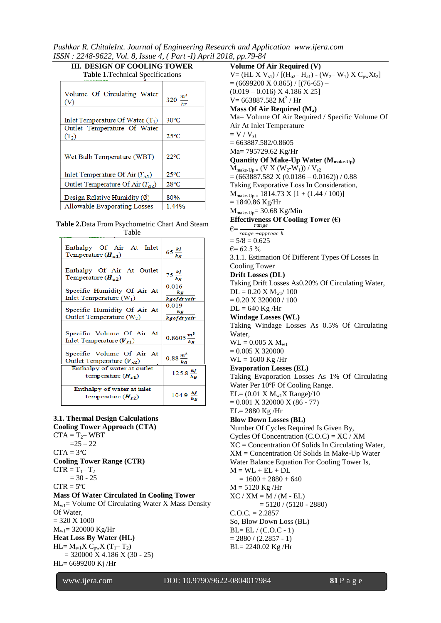*Pushkar R. ChitaleInt. Journal of Engineering Research and Application www.ijera.com ISSN : 2248-9622, Vol. 8, Issue 4, ( Part -I) April 2018, pp.79-84*

| <b>Table 1. Technical Specifications</b> |                           |  |  |  |
|------------------------------------------|---------------------------|--|--|--|
| Volume Of Circulating Water<br>(V)       | 320 $\frac{m^3}{2}$<br>hr |  |  |  |
| Inlet Temperature Of Water $(T_1)$       | $30^{\circ}$ C            |  |  |  |
| Outlet Temperature Of Water<br>$(T_2)$   | $25^{\circ}$ C            |  |  |  |
| Wet Bulb Temperature (WBT)               | $22^{\circ}C$             |  |  |  |
| Inlet Temperature Of Air $(T_{a1})$      | $25^{\circ}$ C            |  |  |  |
| Outlet Temperature Of Air $(T_{a2})$     | $28^{\circ}$ C            |  |  |  |
| Design Relative Humidity (Ø)             | 80%                       |  |  |  |
| <b>Allowable Evaporating Losses</b>      | 1.44%                     |  |  |  |

# **III. DESIGN OF COOLING TOWER**

| Table 2. Data From Psychometric Chart And Steam |
|-------------------------------------------------|
| Table                                           |

| Enthalpy Of Air At Inlet<br>Temperature $(H_{a1})$         | 65 $\frac{k_j}{kg}$          |
|------------------------------------------------------------|------------------------------|
| Enthalpy Of Air At Outlet<br>Temperature $(H_{a2})$        | $75 \frac{kJ}{kg}$           |
| Specific Humidity Of Air At<br>Inlet Temperature $(W_1)$   | 0.016<br>k a<br>kgofdryair   |
| Specific Humidity Of Air At<br>Outlet Temperature $(W_2)$  | 0.019<br>kg<br>kgofdryair    |
| Specific Volume Of Air At<br>Inlet Temperature $(V_{s1})$  | 0.8605 $\frac{m^3}{ka}$      |
| Specific Volume Of Air At<br>Outlet Temperature $(V_{s2})$ | $0.88 \frac{m^3}{ka}$        |
| Enthalpy of water at outlet<br>temperature $(H_{s1})$      | $125.8 \frac{kj}{kg}$        |
| Enthalpy of water at inlet<br>temperature $(H_{s2})$       | 104.9 $\frac{Rf}{k\epsilon}$ |

## **3.1. Thermal Design Calculations**

**Cooling Tower Approach (CTA)**  $CTA = T_2 - WBT$  $=25 - 22$  $CTA = 3°C$ **Cooling Tower Range (CTR)**  $CTR = T_1 - T_2$  $= 30 - 25$  $CTR = 5^{\circ}C$ **Mass Of Water Circulated In Cooling Tower**  $M_{w1}$  Volume Of Circulating Water X Mass Density Of Water,  $= 320 X 1000$  $M_{w1} = 320000 \text{ Kg/Hr}$ **Heat Loss By Water (HL)**  $HL = M_{w1}X C_{pw}X (T_1 - T_2)$  $= 320000 \text{ X } 4.186 \text{ X } (30 - 25)$ HL= 6699200 Kj /Hr

**Volume Of Air Required (V)**  $V = (HL X V_{s1}) / [(H_{a2} - H_{a1}) - (W_{2} - W_{1}) X C_{pw} Xt_{2}]$  $= (6699200 \text{ X } 0.865) / [(76-65) (0.019 - 0.016)$  X 4.186 X 25]  $V = 663887.582 M<sup>3</sup> / Hr$ **Mass Of Air Required (Ma)** Ma= Volume Of Air Required / Specific Volume Of Air At Inlet Temperature  $= V / V_{s1}$  $= 663887.582/0.8605$ Ma= 795729.62 Kg/Hr **Quantity Of Make-Up Water (Mmake-Up)**  $\mathbf{M}_{make\text{-}Up} = (\mathbf{V} \ \mathbf{X} \ (\mathbf{W}_2\text{-}\mathbf{W}_1)) \ / \ \mathbf{V}_{s2}$  $= (663887.582 \text{ X } (0.0186 - 0.0162)) / 0.88$ Taking Evaporative Loss In Consideration,  $M_{make-Up = 1814.73 X [1 + (1.44 / 100)]$  $= 1840.86$  Kg/Hr  $M_{make-Up} = 30.68$  Kg/Min **Effectiveness Of Cooling Tower (€)**  $\epsilon = \frac{range}{range +approx}$  $= 5/8 = 0.625$  $\epsilon$ = 62.5 % 3.1.1. Estimation Of Different Types Of Losses In Cooling Tower **Drift Losses (DL)** Taking Drift Losses As0.20% Of Circulating Water,  $DL = 0.20 X M_{w1}/100$  $= 0.20$  X 320000 / 100  $DL = 640$  Kg /Hr **Windage Losses (WL)** Taking Windage Losses As 0.5% Of Circulating Water,  $WL = 0.005 X M_{w1}$  $= 0.005$  X 320000 WL = 1600 Kg /Hr **Evaporation Losses (EL)** Taking Evaporation Losses As 1% Of Circulating Water Per 10°F Of Cooling Range.  $EL = (0.01 \text{ X} \text{ M}_{w1} \text{X} \text{ Range})/10$  $= 0.001$  X 320000 X (86 - 77) EL= 2880 Kg /Hr **Blow Down Losses (BL)** Number Of Cycles Required Is Given By, Cycles Of Concentration  $(C.O.C) = XC / XM$ XC = Concentration Of Solids In Circulating Water, XM = Concentration Of Solids In Make-Up Water Water Balance Equation For Cooling Tower Is,  $M = WL + EL + DL$  $= 1600 + 2880 + 640$  $M = 5120$  Kg/Hr  $XC / XM = M / (M - EL)$  $= 5120 / (5120 - 2880)$  $C. O.C. = 2.2857$ So, Blow Down Loss (BL)  $BL = EL / (C.O.C - 1)$  $= 2880 / (2.2857 - 1)$ BL= 2240.02 Kg /Hr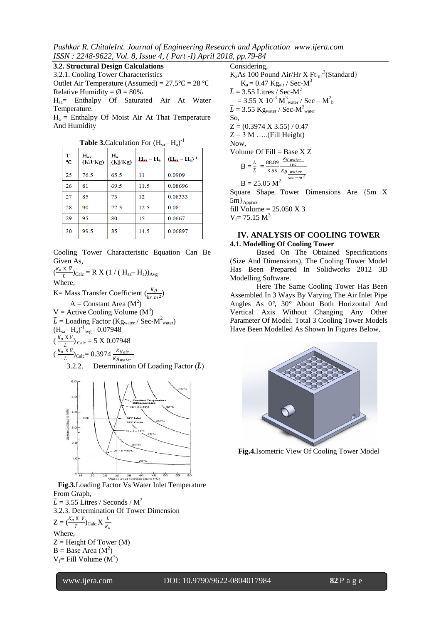*Pushkar R. ChitaleInt. Journal of Engineering Research and Application www.ijera.com ISSN : 2248-9622, Vol. 8, Issue 4, ( Part -I) April 2018, pp.79-84*

**3.2. Structural Design Calculations**

3.2.1. Cooling Tower Characteristics Outlet Air Temperature (Assumed) =  $27.5^{\circ}C = 28^{\circ}C$ Relative Humidity =  $\varnothing$  = 80%

Hsa= Enthalpy Of Saturated Air At Water Temperature.

 $H_a$  = Enthalpy Of Moist Air At That Temperature And Humidity

| <b>1 aprovementation</b> 1 or $\mathbf{H}_{\text{sa}}$<br>$\mathbf{11}_2$ |                     |                  |                  |                |  |  |
|---------------------------------------------------------------------------|---------------------|------------------|------------------|----------------|--|--|
| т<br>°C                                                                   | $H_{as}$<br>(KJ/Kg) | $H_a$<br>(Kj/Kg) | $H_{sa} - H_{a}$ | $(Hsa - Ha)-1$ |  |  |
| 25                                                                        | 76.5                | 65.5             | 11               | 0.0909         |  |  |
| 26                                                                        | 81                  | 69.5             | 11.5             | 0.08696        |  |  |
| 27                                                                        | 85                  | 73               | 12               | 0.08333        |  |  |
| 28                                                                        | 90                  | 77.5             | 12.5             | 0.08           |  |  |
| 29                                                                        | 95                  | 80               | 15               | 0.0667         |  |  |
| 30                                                                        | 99.5                | 85               | 14.5             | 0.06897        |  |  |

**Table 3.**Calculation For  $(H_{sa}-H_a)^{-1}$ 

Cooling Tower Characteristic Equation Can Be Given As,

 $\left(\frac{K_a X \bar{V}}{\tau}\right)$  $\frac{K V}{L}$ )<sub>Calc</sub> = R X (1 / ( H<sub>sa</sub>– H<sub>a</sub>))<sub>Avg</sub> Where, K = Mass Transfer Coefficient  $\left(\frac{Kg}{hr.m^2}\right)$  $A =$ Constant Area ( $M<sup>2</sup>$ )  $V =$  Active Cooling Volume  $(M^3)$  $\overline{L} =$  Loading Factor (Kg<sub>water</sub> / Sec-M<sup>2</sup><sub>water</sub>)  $(H_{sa}-H_a)^{-1}$ <sub>avg =</sub> 0.07948  $(\frac{K_a X \overline{V}}{L_{\circ}})_{\text{Calc}} = 5 \times 0.07948$  $X_a$  X  $\bar{V}$  $\overline{L}$  $)_{Calc} = 0.3974$ K $\boldsymbol{_{g_{water}}}$ 

3.2.2. Determination Of Loading Factor 
$$
(\bar{L})
$$



**Fig.3.**Loading Factor Vs Water Inlet Temperature From Graph,  $\overline{L}$  = 3.55 Litres / Seconds / M<sup>2</sup> 3.2.3. Determination Of Tower Dimension

 $Z = \left(\frac{K_a X \ \overline{V}}{L}\right)_{\text{Calc}} X \frac{L}{K_a}$ Where,  $Z =$  Height Of Tower (M)  $B = Base Area (M<sup>2</sup>)$  $V_f$ = Fill Volume ( $M^3$ )

#### Considering,  $K_aAs$  100 Pound Air/Hr X  $F_{fall}^3$ (Standard)  $K_a = 0.47$  Kg<sub>air</sub> / Sec-M<sup>3</sup>  $\overline{L} = 3.55$  Litres / Sec-M<sup>2</sup>  $= 3.55 \times 10^{-3} \text{ M}^3$ <sub>water</sub> / Sec – M<sup>2</sup><sub>b</sub>  $\overline{L} = 3.55 \text{ Kg}_{\text{water}} / \text{ Sec-M}^2_{\text{water}}$ So,

 $Z = (0.3974 \text{ X } 3.55) / 0.47$  $Z = 3$  M .....(Fill Height) Now, Volume Of Fill = Base X Z

$$
B = \frac{L}{L} = \frac{88.89}{3.55} \frac{\frac{Kg_{water}}{sec}}{Kg_{\frac{water}{sec} - m^2}}
$$

 $B = 25.05 M$ 

Square Shape Tower Dimensions Are {5m X  $5m$ <sub>Approx</sub>

fill Volume =  $25.050$  X 3  $V_f$  = 75.15  $M^3$ 

#### **IV. ANALYSIS OF COOLING TOWER 4.1. Modelling Of Cooling Tower**

Based On The Obtained Specifications (Size And Dimensions), The Cooling Tower Model Has Been Prepared In Solidworks 2012 3D Modelling Software.

Here The Same Cooling Tower Has Been Assembled In 3 Ways By Varying The Air Inlet Pipe Angles As 0*°*, 30*°* About Both Horizontal And Vertical Axis Without Changing Any Other Parameter Of Model. Total 3 Cooling Tower Models Have Been Modelled As Shown In Figures Below,



**Fig.4.**Isometric View Of Cooling Tower Model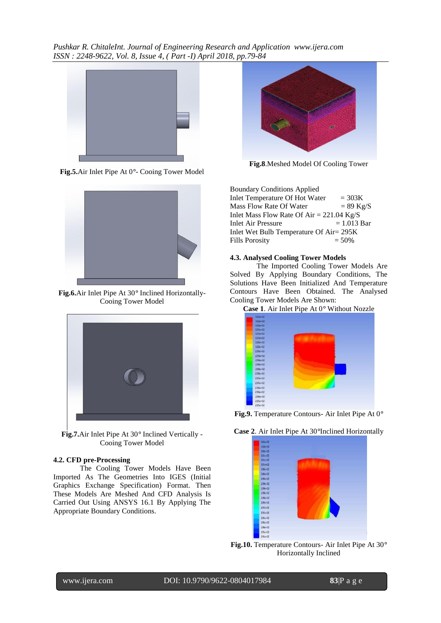*Pushkar R. ChitaleInt. Journal of Engineering Research and Application www.ijera.com ISSN : 2248-9622, Vol. 8, Issue 4, ( Part -I) April 2018, pp.79-84*



**Fig.5.**Air Inlet Pipe At 0*°*- Cooing Tower Model



**Fig.6.**Air Inlet Pipe At 30*°* Inclined Horizontally-Cooing Tower Model



**Fig.7.**Air Inlet Pipe At 30*°* Inclined Vertically - Cooing Tower Model

## **4.2. CFD pre-Processing**

The Cooling Tower Models Have Been Imported As The Geometries Into IGES (Initial Graphics Exchange Specification) Format. Then These Models Are Meshed And CFD Analysis Is Carried Out Using ANSYS 16.1 By Applying The Appropriate Boundary Conditions.



**Fig.8**.Meshed Model Of Cooling Tower

Boundary Conditions Applied Inlet Temperature Of Hot Water  $= 303K$ <br>Mass Flow Rate Of Water  $= 89$  Kg/S Mass Flow Rate Of Water Inlet Mass Flow Rate Of Air =  $221.04$  Kg/S Inlet Air Pressure  $= 1.013$  Bar Inlet Wet Bulb Temperature Of Air= 295K Fills Porosity  $= 50\%$ 

#### **4.3. Analysed Cooling Tower Models**

The Imported Cooling Tower Models Are Solved By Applying Boundary Conditions, The Solutions Have Been Initialized And Temperature Contours Have Been Obtained. The Analysed Cooling Tower Models Are Shown:



**Fig.9.** Temperature Contours- Air Inlet Pipe At 0*°*

**Case 2**. Air Inlet Pipe At 30*°*Inclined Horizontally



**Fig.10.** Temperature Contours- Air Inlet Pipe At 30*°* Horizontally Inclined